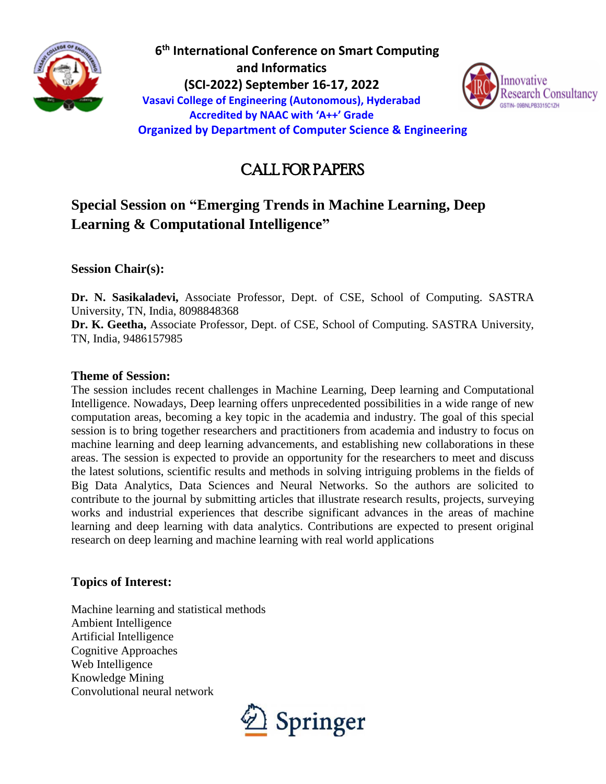

 **6 th International Conference on Smart Computing and Informatics (SCI-2022) September 16-17, 2022 Vasavi College of Engineering (Autonomous), Hyderabad Accredited by NAAC with 'A++' Grade Organized by Department of Computer Science & Engineering**



# CALL FOR PAPERS

# **Special Session on "Emerging Trends in Machine Learning, Deep Learning & Computational Intelligence"**

**Session Chair(s):** 

**Dr. N. Sasikaladevi,** Associate Professor, Dept. of CSE, School of Computing. SASTRA University, TN, India, 8098848368

**Dr. K. Geetha,** Associate Professor, Dept. of CSE, School of Computing. SASTRA University, TN, India, 9486157985

#### **Theme of Session:**

The session includes recent challenges in Machine Learning, Deep learning and Computational Intelligence. Nowadays, Deep learning offers unprecedented possibilities in a wide range of new computation areas, becoming a key topic in the academia and industry. The goal of this special session is to bring together researchers and practitioners from academia and industry to focus on machine learning and deep learning advancements, and establishing new collaborations in these areas. The session is expected to provide an opportunity for the researchers to meet and discuss the latest solutions, scientific results and methods in solving intriguing problems in the fields of Big Data Analytics, Data Sciences and Neural Networks. So the authors are solicited to contribute to the journal by submitting articles that illustrate research results, projects, surveying works and industrial experiences that describe significant advances in the areas of machine learning and deep learning with data analytics. Contributions are expected to present original research on deep learning and machine learning with real world applications

## **Topics of Interest:**

Machine learning and statistical methods Ambient Intelligence Artificial Intelligence Cognitive Approaches Web Intelligence Knowledge Mining Convolutional neural network